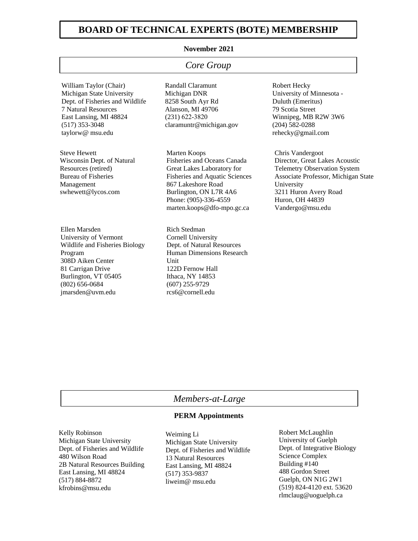## **BOARD OF TECHNICAL EXPERTS (BOTE) MEMBERSHIP**

### **November 2021**

## *Core Group*

William Taylor (Chair) Michigan State University Dept. of Fisheries and Wildlife 7 Natural Resources East Lansing, MI 48824 (517) 353-3048 taylorw@ msu.edu

Steve Hewett Wisconsin Dept. of Natural Resources (retired) Bureau of Fisheries Management swhewett@lycos.com

Ellen Marsden University of Vermont Wildlife and Fisheries Biology Program 308D Aiken Center 81 Carrigan Drive Burlington, VT 05405 (802) 656-0684 jmarsden@uvm.edu

Randall Claramunt Michigan DNR 8258 South Ayr Rd Alanson, MI 49706 (231) 622-3820 claramuntr@michigan.gov

Marten Koops Fisheries and Oceans Canada Great Lakes Laboratory for Fisheries and Aquatic Sciences 867 Lakeshore Road Burlington, ON L7R 4A6 Phone: (905)-336-4559 marten.koops@dfo-mpo.gc.ca

Rich Stedman Cornell University Dept. of Natural Resources Human Dimensions Research Unit 122D Fernow Hall Ithaca, NY 14853 (607) 255-9729 rcs6@cornell.edu

Robert Hecky University of Minnesota - Duluth (Emeritus) 79 Scotia Street Winnipeg, MB R2W 3W6 (204) 582-0288 rehecky@gmail.com

Chris Vandergoot Director, Great Lakes Acoustic Telemetry Observation System Associate Professor, Michigan State University 3211 Huron Avery Road Huron, OH 44839 Vandergo@msu.edu

## *Members-at-Large*

### **PERM Appointments**

Kelly Robinson Michigan State University Dept. of Fisheries and Wildlife 480 Wilson Road 2B Natural Resources Building East Lansing, MI 48824 (517) 884-8872 kfrobins@msu.edu

Weiming Li Michigan State University Dept. of Fisheries and Wildlife 13 Natural Resources East Lansing, MI 48824 (517) 353-9837 liweim@ msu.edu

Robert McLaughlin University of Guelph Dept. of Integrative Biology Science Complex Building #140 488 Gordon Street Guelph, ON N1G 2W1 (519) 824-4120 ext. 53620 rlmclaug@uoguelph.ca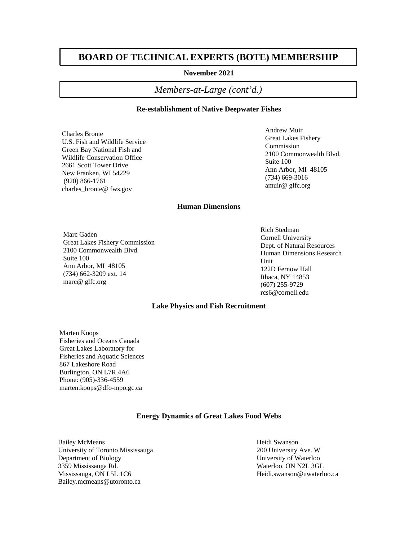# **BOARD OF TECHNICAL EXPERTS (BOTE) MEMBERSHIP**

#### **November 2021**

## *Members-at-Large (cont'd.)*

#### **Re-establishment of Native Deepwater Fishes**

Charles Bronte U.S. Fish and Wildlife Service Green Bay National Fish and Wildlife Conservation Office 2661 Scott Tower Drive New Franken, WI 54229 (920) 866-1761 charles bronte@ fws.gov

Andrew Muir Great Lakes Fishery Commission 2100 Commonwealth Blvd. Suite 100 Ann Arbor, MI 48105 (734) 669-3016 amuir@ glfc.org

### **Human Dimensions**

Marc Gaden Great Lakes Fishery Commission 2100 Commonwealth Blvd. Suite 100 Ann Arbor, MI 48105 (734) 662-3209 ext. 14 marc@ glfc.org

Rich Stedman Cornell University Dept. of Natural Resources Human Dimensions Research **Unit** 122D Fernow Hall Ithaca, NY 14853 (607) 255-9729 rcs6@cornell.edu

#### **Lake Physics and Fish Recruitment**

Marten Koops Fisheries and Oceans Canada Great Lakes Laboratory for Fisheries and Aquatic Sciences 867 Lakeshore Road Burlington, ON L7R 4A6 Phone: (905)-336-4559 marten.koops@dfo-mpo.gc.ca

#### **Energy Dynamics of Great Lakes Food Webs**

Bailey McMeans University of Toronto Mississauga Department of Biology 3359 Mississauga Rd. Mississauga, ON L5L 1C6 Bailey.mcmeans@utoronto.ca

Heidi Swanson 200 University Ave. W University of Waterloo Waterloo, ON N2L 3GL Heidi.swanson@uwaterloo.ca